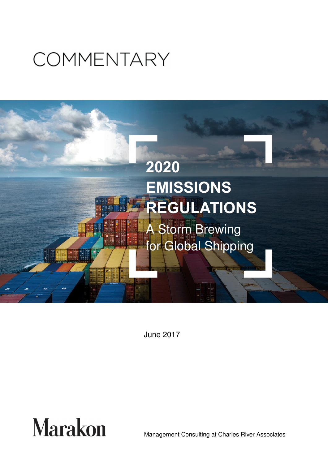# **COMMENTARY**



June 2017



Management Consulting at Charles River Associates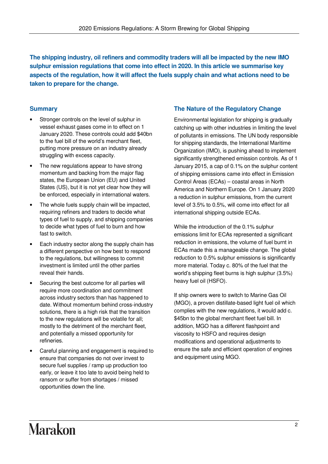**The shipping industry, oil refiners and commodity traders will all be impacted by the new IMO sulphur emission regulations that come into effect in 2020. In this article we summarise key aspects of the regulation, how it will affect the fuels supply chain and what actions need to be taken to prepare for the change.** 

### **Summary**

- Stronger controls on the level of sulphur in vessel exhaust gases come in to effect on 1 January 2020. These controls could add \$40bn to the fuel bill of the world's merchant fleet, putting more pressure on an industry already struggling with excess capacity.
- The new regulations appear to have strong momentum and backing from the major flag states, the European Union (EU) and United States (US), but it is not yet clear how they will be enforced, especially in international waters.
- The whole fuels supply chain will be impacted, requiring refiners and traders to decide what types of fuel to supply, and shipping companies to decide what types of fuel to burn and how fast to switch.
- Each industry sector along the supply chain has a different perspective on how best to respond to the regulations, but willingness to commit investment is limited until the other parties reveal their hands.
- Securing the best outcome for all parties will require more coordination and commitment across industry sectors than has happened to date. Without momentum behind cross-industry solutions, there is a high risk that the transition to the new regulations will be volatile for all; mostly to the detriment of the merchant fleet, and potentially a missed opportunity for refineries.
- Careful planning and engagement is required to ensure that companies do not over invest to secure fuel supplies / ramp up production too early, or leave it too late to avoid being held to ransom or suffer from shortages / missed opportunities down the line.

#### **The Nature of the Regulatory Change**

Environmental legislation for shipping is gradually catching up with other industries in limiting the level of pollutants in emissions. The UN body responsible for shipping standards, the International Maritime Organization (IMO), is pushing ahead to implement significantly strengthened emission controls. As of 1 January 2015, a cap of 0.1% on the sulphur content of shipping emissions came into effect in Emission Control Areas (ECAs) – coastal areas in North America and Northern Europe. On 1 January 2020 a reduction in sulphur emissions, from the current level of 3.5% to 0.5%, will come into effect for all international shipping outside ECAs.

While the introduction of the 0.1% sulphur emissions limit for ECAs represented a significant reduction in emissions, the volume of fuel burnt in ECAs made this a manageable change. The global reduction to 0.5% sulphur emissions is significantly more material. Today c. 80% of the fuel that the world's shipping fleet burns is high sulphur (3.5%) heavy fuel oil (HSFO).

If ship owners were to switch to Marine Gas Oil (MGO), a proven distillate-based light fuel oil which complies with the new regulations, it would add c. \$45bn to the global merchant fleet fuel bill. In addition, MGO has a different flashpoint and viscosity to HSFO and requires design modifications and operational adjustments to ensure the safe and efficient operation of engines and equipment using MGO.

# **Marakon**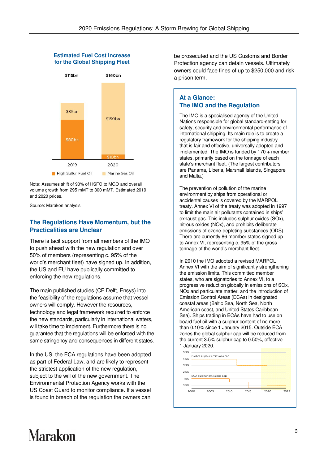#### **Estimated Fuel Cost Increase for the Global Shipping Fleet**



Note: Assumes shift of 90% of HSFO to MGO and overall volume growth from 295 mMT to 300 mMT. Estimated 2019 and 2020 prices.

Source: Marakon analysis

#### **The Regulations Have Momentum, but the Practicalities are Unclear**

There is tacit support from all members of the IMO to push ahead with the new regulation and over 50% of members (representing c. 95% of the world's merchant fleet) have signed up. In addition, the US and EU have publically committed to enforcing the new regulations.

The main published studies (CE Delft, Ensys) into the feasibility of the regulations assume that vessel owners will comply. However the resources, technology and legal framework required to enforce the new standards, particularly in international waters, will take time to implement. Furthermore there is no guarantee that the regulations will be enforced with the same stringency and consequences in different states.

In the US, the ECA regulations have been adopted as part of Federal Law, and are likely to represent the strictest application of the new regulation, subject to the will of the new government. The Environmental Protection Agency works with the US Coast Guard to monitor compliance. If a vessel is found in breach of the regulation the owners can

be prosecuted and the US Customs and Border Protection agency can detain vessels. Ultimately owners could face fines of up to \$250,000 and risk a prison term.

#### **At a Glance: The IMO and the Regulation**

The IMO is a specialised agency of the United Nations responsible for global standard-setting for safety, security and environmental performance of international shipping. Its main role is to create a regulatory framework for the shipping industry that is fair and effective, universally adopted and implemented. The IMO is funded by 170 + member states, primarily based on the tonnage of each state's merchant fleet. (The largest contributors are Panama, Liberia, Marshall Islands, Singapore and Malta.)

The prevention of pollution of the marine environment by ships from operational or accidental causes is covered by the MARPOL treaty. Annex VI of the treaty was adopted in 1997 to limit the main air pollutants contained in ships' exhaust gas. This includes sulphur oxides (SOx), nitrous oxides (NOx), and prohibits deliberate emissions of ozone-depleting substances (ODS). There are currently 86 member states signed up to Annex VI, representing c. 95% of the gross tonnage of the world's merchant fleet.

In 2010 the IMO adopted a revised MARPOL Annex VI with the aim of significantly strengthening the emission limits. This committed member states, who are signatories to Annex VI, to a progressive reduction globally in emissions of SOx, NOx and particulate matter, and the introduction of Emission Control Areas (ECAs) in designated coastal areas (Baltic Sea, North Sea, North American coast, and United States Caribbean Sea). Ships trading in ECAs have had to use on board fuel oil with a sulphur content of no more than 0.10% since 1 January 2015. Outside ECA zones the global sulphur cap will be reduced from the current 3.5% sulphur cap to 0.50%, effective 1 January 2020.



# **Marakon**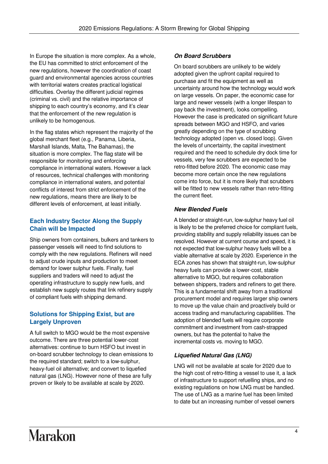In Europe the situation is more complex. As a whole, the EU has committed to strict enforcement of the new regulations, however the coordination of coast guard and environmental agencies across countries with territorial waters creates practical logistical difficulties. Overlay the different judicial regimes (criminal vs. civil) and the relative importance of shipping to each country's economy, and it's clear that the enforcement of the new regulation is unlikely to be homogenous.

In the flag states which represent the majority of the global merchant fleet (e.g., Panama, Liberia, Marshall Islands, Malta, The Bahamas), the situation is more complex. The flag state will be responsible for monitoring and enforcing compliance in international waters. However a lack of resources, technical challenges with monitoring compliance in international waters, and potential conflicts of interest from strict enforcement of the new regulations, means there are likely to be different levels of enforcement, at least initially.

# **Each Industry Sector Along the Supply Chain will be Impacted**

Ship owners from containers, bulkers and tankers to passenger vessels will need to find solutions to comply with the new regulations. Refiners will need to adjust crude inputs and production to meet demand for lower sulphur fuels. Finally, fuel suppliers and traders will need to adjust the operating infrastructure to supply new fuels, and establish new supply routes that link refinery supply of compliant fuels with shipping demand.

# **Solutions for Shipping Exist, but are Largely Unproven**

A full switch to MGO would be the most expensive outcome. There are three potential lower-cost alternatives: continue to burn HSFO but invest in on-board scrubber technology to clean emissions to the required standard; switch to a low-sulphur, heavy-fuel oil alternative; and convert to liquefied natural gas (LNG). However none of these are fully proven or likely to be available at scale by 2020.

# **On Board Scrubbers**

On board scrubbers are unlikely to be widely adopted given the upfront capital required to purchase and fit the equipment as well as uncertainty around how the technology would work on large vessels. On paper, the economic case for large and newer vessels (with a longer lifespan to pay back the investment), looks compelling. However the case is predicated on significant future spreads between MGO and HSFO, and varies greatly depending on the type of scrubbing technology adopted (open vs. closed loop). Given the levels of uncertainty, the capital investment required and the need to schedule dry dock time for vessels, very few scrubbers are expected to be retro-fitted before 2020. The economic case may become more certain once the new regulations come into force, but it is more likely that scrubbers will be fitted to new vessels rather than retro-fitting the current fleet.

### **New Blended Fuels**

A blended or straight-run, low-sulphur heavy fuel oil is likely to be the preferred choice for compliant fuels, providing stability and supply reliability issues can be resolved. However at current course and speed, it is not expected that low-sulphur heavy fuels will be a viable alternative at scale by 2020. Experience in the ECA zones has shown that straight-run, low-sulphur heavy fuels can provide a lower-cost, stable alternative to MGO, but requires collaboration between shippers, traders and refiners to get there. This is a fundamental shift away from a traditional procurement model and requires larger ship owners to move up the value chain and proactively build or access trading and manufacturing capabilities. The adoption of blended fuels will require corporate commitment and investment from cash-strapped owners, but has the potential to halve the incremental costs vs. moving to MGO.

# **Liquefied Natural Gas (LNG)**

LNG will not be available at scale for 2020 due to the high cost of retro-fitting a vessel to use it, a lack of infrastructure to support refuelling ships, and no existing regulations on how LNG must be handled. The use of LNG as a marine fuel has been limited to date but an increasing number of vessel owners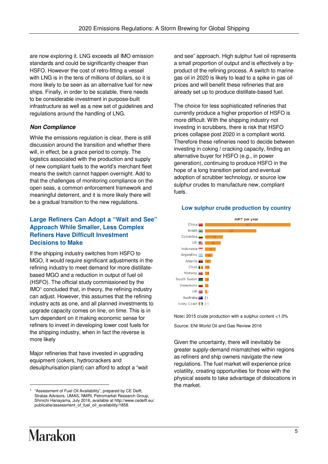are now exploring it. LNG exceeds all IMO emission standards and could be significantly cheaper than HSFO. However the cost of retro-fitting a vessel with LNG is in the tens of millions of dollars, so it is more likely to be seen as an alternative fuel for new ships. Finally, in order to be scalable, there needs to be considerable investment in purpose-built infrastructure as well as a new set of guidelines and regulations around the handling of LNG.

# **Non Compliance**

While the emissions regulation is clear, there is still discussion around the transition and whether there will, in effect, be a grace period to comply. The logistics associated with the production and supply of new compliant fuels to the world's merchant fleet means the switch cannot happen overnight. Add to that the challenges of monitoring compliance on the open seas, a common enforcement framework and meaningful deterrent, and it is more likely there will be a gradual transition to the new regulations.

### **Large Refiners Can Adopt a "Wait and See" Approach While Smaller, Less Complex Refiners Have Difficult Investment Decisions to Make**

If the shipping industry switches from HSFO to MGO, it would require significant adjustments in the refining industry to meet demand for more distillatebased MGO and a reduction in output of fuel oil (HSFO). The official study commissioned by the IMO<sup>1</sup> concluded that, in theory, the refining industry can adjust. However, this assumes that the refining industry acts as one, and all planned investments to upgrade capacity comes on line, on time. This is in turn dependent on it making economic sense for refiners to invest in developing lower cost fuels for the shipping industry, when in fact the reverse is more likely

Major refineries that have invested in upgrading equipment (cokers, hydrocrackers and desulphurisation plant) can afford to adopt a "wait and see" approach. High sulphur fuel oil represents a small proportion of output and is effectively a byproduct of the refining process. A switch to marine gas oil in 2020 is likely to lead to a spike in gas oil prices and will benefit these refineries that are already set up to produce distillate-based fuel.

The choice for less sophisticated refineries that currently produce a higher proportion of HSFO is more difficult. With the shipping industry not investing in scrubbers, there is risk that HSFO prices collapse post 2020 in a compliant world. Therefore these refineries need to decide between investing in coking / cracking capacity, finding an alternative buyer for HSFO (e.g., in power generation), continuing to produce HSFO in the hope of a long transition period and eventual adoption of scrubber technology, or source low sulphur crudes to manufacture new, compliant fuels.



#### **Low sulphur crude production by country**

Note**:** 2015 crude production with a sulphur content <1.0% Source: ENI World Oil and Gas Review 2016

Given the uncertainty, there will inevitably be greater supply-demand mismatches within regions as refiners and ship owners navigate the new regulations. The fuel market will experience price volatility, creating opportunities for those with the physical assets to take advantage of dislocations in the market.

l

<sup>1</sup> "Assessment of Fuel Oil Availability", prepared by CE Delft, Stratas Advisors, UMAS, NMRI, Petromarket Research Group, Shinichi Hanayama, July 2016, available at http://www.cedelft.eu/ publicatie/assessment\_of\_fuel\_oil\_availability/1858.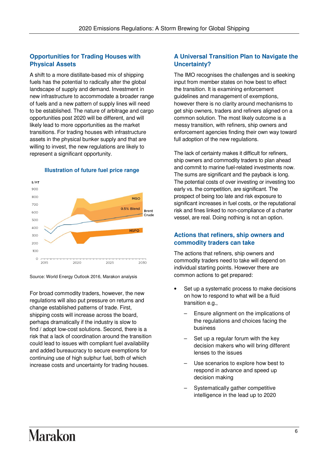### **Opportunities for Trading Houses with Physical Assets**

A shift to a more distillate-based mix of shipping fuels has the potential to radically alter the global landscape of supply and demand. Investment in new infrastructure to accommodate a broader range of fuels and a new pattern of supply lines will need to be established. The nature of arbitrage and cargo opportunities post 2020 will be different, and will likely lead to more opportunities as the market transitions. For trading houses with infrastructure assets in the physical bunker supply and that are willing to invest, the new regulations are likely to represent a significant opportunity.



#### **Illustration of future fuel price range**

Source: World Energy Outlook 2016, Marakon analysis

For broad commodity traders, however, the new regulations will also put pressure on returns and change established patterns of trade. First, shipping costs will increase across the board, perhaps dramatically if the industry is slow to find / adopt low-cost solutions. Second, there is a risk that a lack of coordination around the transition could lead to issues with compliant fuel availability and added bureaucracy to secure exemptions for continuing use of high sulphur fuel, both of which increase costs and uncertainty for trading houses.

#### **A Universal Transition Plan to Navigate the Uncertainty?**

The IMO recognises the challenges and is seeking input from member states on how best to effect the transition. It is examining enforcement guidelines and management of exemptions, however there is no clarity around mechanisms to get ship owners, traders and refiners aligned on a common solution. The most likely outcome is a messy transition, with refiners, ship owners and enforcement agencies finding their own way toward full adoption of the new regulations.

The lack of certainty makes it difficult for refiners, ship owners and commodity traders to plan ahead and commit to marine fuel-related investments now. The sums are significant and the payback is long. The potential costs of over investing or investing too early vs. the competition, are significant. The prospect of being too late and risk exposure to significant increases in fuel costs, or the reputational risk and fines linked to non-compliance of a charter vessel, are real. Doing nothing is not an option.

#### **Actions that refiners, ship owners and commodity traders can take**

The actions that refiners, ship owners and commodity traders need to take will depend on individual starting points. However there are common actions to get prepared:

- Set up a systematic process to make decisions on how to respond to what will be a fluid transition e.g.,
	- Ensure alignment on the implications of the regulations and choices facing the business
	- Set up a regular forum with the key decision makers who will bring different lenses to the issues
	- Use scenarios to explore how best to respond in advance and speed up decision making
	- Systematically gather competitive intelligence in the lead up to 2020

# **Marakon**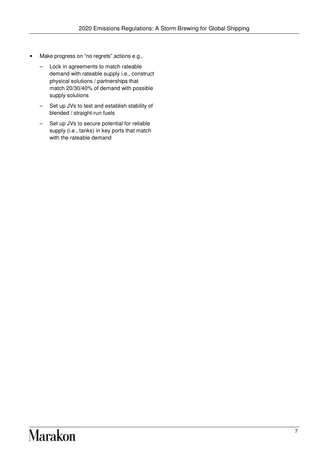- Make progress on "no regrets" actions e.g.,
	- Lock in agreements to match rateable demand with rateable supply i.e., construct physical solutions / partnerships that match 20/30/40% of demand with possible supply solutions
	- Set up JVs to test and establish stability of blended / straight-run fuels
	- Set up JVs to secure potential for reliable supply (i.e., tanks) in key ports that match with the rateable demand